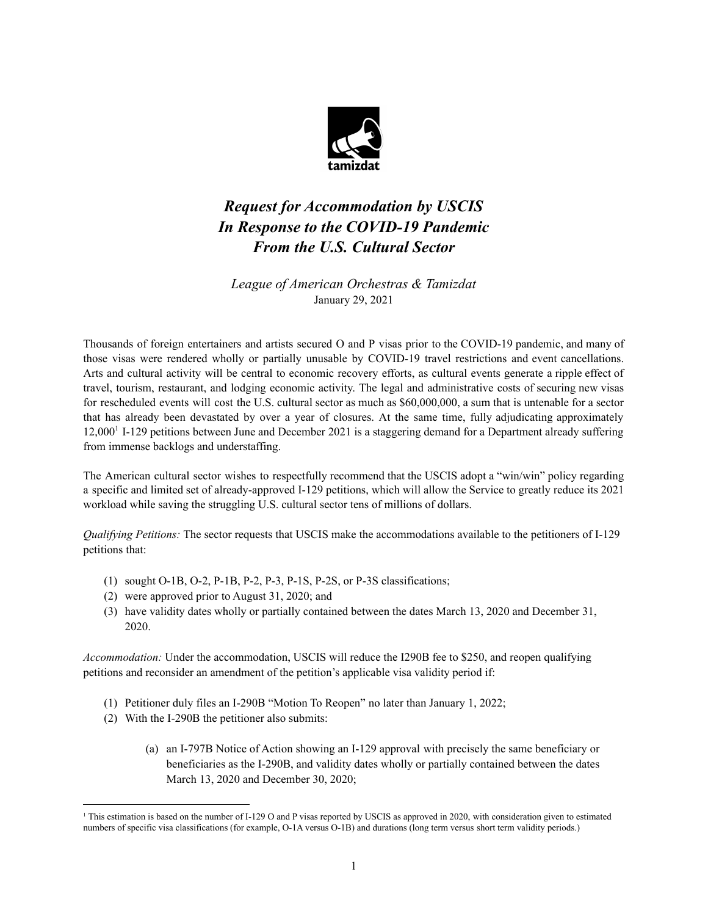

## *Request for Accommodation by USCIS In Response to the COVID-19 Pandemic From the U.S. Cultural Sector*

*League of American Orchestras & Tamizdat* January 29, 2021

Thousands of foreign entertainers and artists secured O and P visas prior to the COVID-19 pandemic, and many of those visas were rendered wholly or partially unusable by COVID-19 travel restrictions and event cancellations. Arts and cultural activity will be central to economic recovery efforts, as cultural events generate a ripple effect of travel, tourism, restaurant, and lodging economic activity. The legal and administrative costs of securing new visas for rescheduled events will cost the U.S. cultural sector as much as \$60,000,000, a sum that is untenable for a sector that has already been devastated by over a year of closures. At the same time, fully adjudicating approximately 12,000<sup>1</sup> I-129 petitions between June and December 2021 is a staggering demand for a Department already suffering from immense backlogs and understaffing.

The American cultural sector wishes to respectfully recommend that the USCIS adopt a "win/win" policy regarding a specific and limited set of already-approved I-129 petitions, which will allow the Service to greatly reduce its 2021 workload while saving the struggling U.S. cultural sector tens of millions of dollars.

*Qualifying Petitions:* The sector requests that USCIS make the accommodations available to the petitioners of I-129 petitions that:

- (1) sought O-1B, O-2, P-1B, P-2, P-3, P-1S, P-2S, or P-3S classifications;
- (2) were approved prior to August 31, 2020; and
- (3) have validity dates wholly or partially contained between the dates March 13, 2020 and December 31, 2020.

*Accommodation:* Under the accommodation, USCIS will reduce the I290B fee to \$250, and reopen qualifying petitions and reconsider an amendment of the petition's applicable visa validity period if:

- (1) Petitioner duly files an I-290B "Motion To Reopen" no later than January 1, 2022;
- (2) With the I-290B the petitioner also submits:
	- (a) an I-797B Notice of Action showing an I-129 approval with precisely the same beneficiary or beneficiaries as the I-290B, and validity dates wholly or partially contained between the dates March 13, 2020 and December 30, 2020;

<sup>&</sup>lt;sup>1</sup> This estimation is based on the number of I-129 O and P visas reported by USCIS as approved in 2020, with consideration given to estimated numbers of specific visa classifications (for example, O-1A versus O-1B) and durations (long term versus short term validity periods.)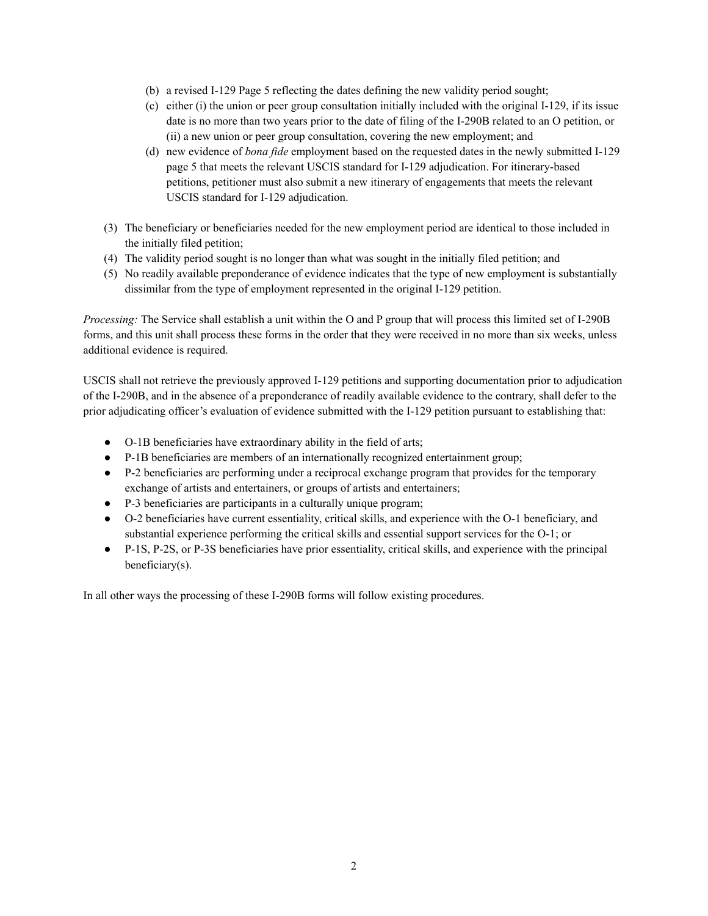- (b) a revised I-129 Page 5 reflecting the dates defining the new validity period sought;
- (c) either (i) the union or peer group consultation initially included with the original I-129, if its issue date is no more than two years prior to the date of filing of the I-290B related to an O petition, or (ii) a new union or peer group consultation, covering the new employment; and
- (d) new evidence of *bona fide* employment based on the requested dates in the newly submitted I-129 page 5 that meets the relevant USCIS standard for I-129 adjudication. For itinerary-based petitions, petitioner must also submit a new itinerary of engagements that meets the relevant USCIS standard for I-129 adjudication.
- (3) The beneficiary or beneficiaries needed for the new employment period are identical to those included in the initially filed petition;
- (4) The validity period sought is no longer than what was sought in the initially filed petition; and
- (5) No readily available preponderance of evidence indicates that the type of new employment is substantially dissimilar from the type of employment represented in the original I-129 petition.

*Processing:* The Service shall establish a unit within the O and P group that will process this limited set of I-290B forms, and this unit shall process these forms in the order that they were received in no more than six weeks, unless additional evidence is required.

USCIS shall not retrieve the previously approved I-129 petitions and supporting documentation prior to adjudication of the I-290B, and in the absence of a preponderance of readily available evidence to the contrary, shall defer to the prior adjudicating officer's evaluation of evidence submitted with the I-129 petition pursuant to establishing that:

- O-1B beneficiaries have extraordinary ability in the field of arts;
- P-1B beneficiaries are members of an internationally recognized entertainment group;
- P-2 beneficiaries are performing under a reciprocal exchange program that provides for the temporary exchange of artists and entertainers, or groups of artists and entertainers;
- P-3 beneficiaries are participants in a culturally unique program;
- O-2 beneficiaries have current essentiality, critical skills, and experience with the O-1 beneficiary, and substantial experience performing the critical skills and essential support services for the O-1; or
- P-1S, P-2S, or P-3S beneficiaries have prior essentiality, critical skills, and experience with the principal beneficiary(s).

In all other ways the processing of these I-290B forms will follow existing procedures.